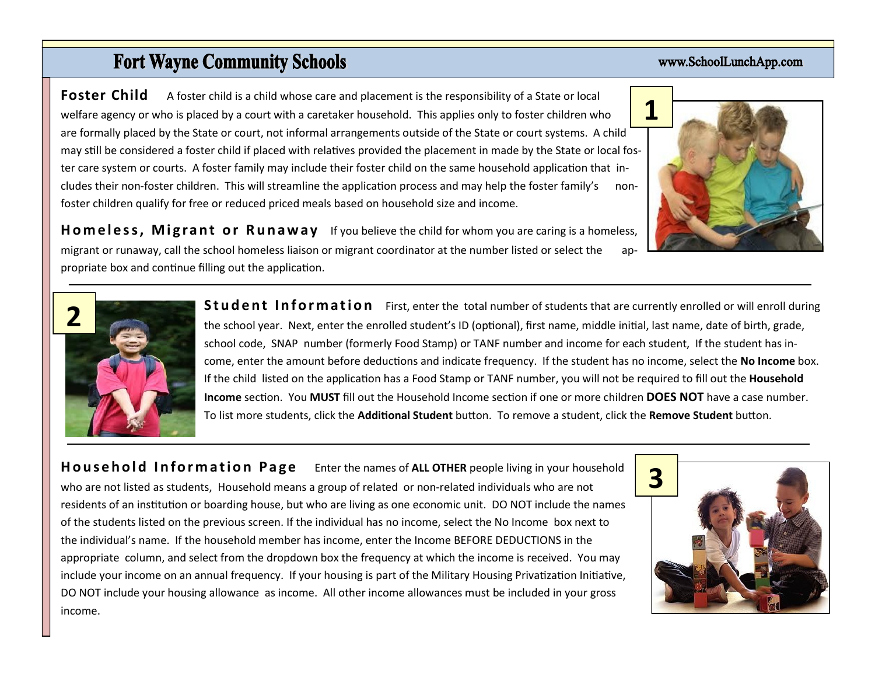## **Fort Wayne Community Schools**

**Foster Child** A foster child is a child whose care and placement is the responsibility of a State or local welfare agency or who is placed by a court with a caretaker household. This applies only to foster children who are formally placed by the State or court, not informal arrangements outside of the State or court systems. A child may still be considered a foster child if placed with relatives provided the placement in made by the State or local foster care system or courts. A foster family may include their foster child on the same household application that includes their non-foster children. This will streamline the application process and may help the foster family's nonfoster children qualify for free or reduced priced meals based on household size and income.

**Homeless, Migrant or Runaway** If you believe the child for whom you are caring is a homeless, migrant or runaway, call the school homeless liaison or migrant coordinator at the number listed or select the appropriate box and continue filling out the application.

> **Student Information** First, enter the total number of students that are currently enrolled or will enroll during the school year. Next, enter the enrolled student's ID (optional), first name, middle initial, last name, date of birth, grade, school code, SNAP number (formerly Food Stamp) or TANF number and income for each student, If the student has income, enter the amount before deductions and indicate frequency. If the student has no income, select the **No Income** box. If the child listed on the application has a Food Stamp or TANF number, you will not be required to fill out the **Household Income** section. You **MUST** fill out the Household Income section if one or more children **DOES NOT** have a case number. To list more students, click the **Additional Student** button. To remove a student, click the **Remove Student** button.

**Household Information Page** Enter the names of ALL OTHER people living in your household who are not listed as students, Household means a group of related or non-related individuals who are not residents of an institution or boarding house, but who are living as one economic unit. DO NOT include the names of the students listed on the previous screen. If the individual has no income, select the No Income box next to the individual's name. If the household member has income, enter the Income BEFORE DEDUCTIONS in the appropriate column, and select from the dropdown box the frequency at which the income is received. You may include your income on an annual frequency. If your housing is part of the Military Housing Privatization Initiative, DO NOT include your housing allowance as income. All other income allowances must be included in your gross income.